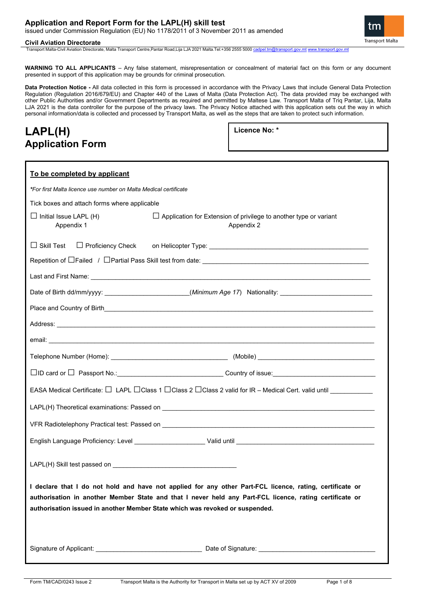### **Civil Aviation Directorate**

tm **Transport Malta** 

Transport Malta-Civil Aviation Directorate, Malta Transport Centre,Pantar Road,Lija LJA 2021 Malta.Tel:+356 2555 5000 c

**WARNING TO ALL APPLICANTS** – Any false statement, misrepresentation or concealment of material fact on this form or any document presented in support of this application may be grounds for criminal prosecution.

**Data Protection Notice -** All data collected in this form is processed in accordance with the Privacy Laws that include General Data Protection Regulation (Regulation 2016/679/EU) and Chapter 440 of the Laws of Malta (Data Protection Act). The data provided may be exchanged with other Public Authorities and/or Government Departments as required and permitted by Maltese Law. Transport Malta of Triq Pantar, Lija, Malta LJA 2021 is the data controller for the purpose of the privacy laws. The Privacy Notice attached with this application sets out the way in which personal information/data is collected and processed by Transport Malta, as well as the steps that are taken to protect such information.

# **LAPL(H) Application Form**

**Licence No: \***

| To be completed by applicant                                                                                                                                                                                                                                                                        |  |  |
|-----------------------------------------------------------------------------------------------------------------------------------------------------------------------------------------------------------------------------------------------------------------------------------------------------|--|--|
| *For first Malta licence use number on Malta Medical certificate                                                                                                                                                                                                                                    |  |  |
| Tick boxes and attach forms where applicable                                                                                                                                                                                                                                                        |  |  |
| $\Box$ Initial Issue LAPL (H)<br>$\Box$ Application for Extension of privilege to another type or variant<br>Appendix 1<br>Appendix 2                                                                                                                                                               |  |  |
| $\Box$ Skill Test                                                                                                                                                                                                                                                                                   |  |  |
|                                                                                                                                                                                                                                                                                                     |  |  |
|                                                                                                                                                                                                                                                                                                     |  |  |
| Date of Birth dd/mm/yyyy: __________________________(Minimum Age 17) Nationality: ____________________________                                                                                                                                                                                      |  |  |
|                                                                                                                                                                                                                                                                                                     |  |  |
|                                                                                                                                                                                                                                                                                                     |  |  |
|                                                                                                                                                                                                                                                                                                     |  |  |
|                                                                                                                                                                                                                                                                                                     |  |  |
|                                                                                                                                                                                                                                                                                                     |  |  |
| EASA Medical Certificate: □ LAPL □ Class 1 □ Class 2 □ Class 2 valid for IR - Medical Cert. valid until ___________                                                                                                                                                                                 |  |  |
|                                                                                                                                                                                                                                                                                                     |  |  |
|                                                                                                                                                                                                                                                                                                     |  |  |
|                                                                                                                                                                                                                                                                                                     |  |  |
|                                                                                                                                                                                                                                                                                                     |  |  |
| I declare that I do not hold and have not applied for any other Part-FCL licence, rating, certificate or<br>authorisation in another Member State and that I never held any Part-FCL licence, rating certificate or<br>authorisation issued in another Member State which was revoked or suspended. |  |  |
|                                                                                                                                                                                                                                                                                                     |  |  |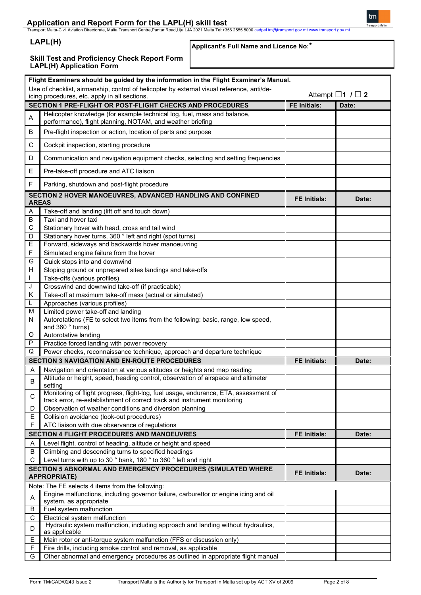**Application and Report Form for the LAPL(H) Skill test**<br>Transport Malta-Civil Aviation Directorate, Malta Transport Centre,Pantar Road,Lija LJA 2021 Malta.Tel:+356 2555 5000 <u>[cadpel.tm@transport.gov.mt](mailto:cadpel.tm@transport.gov.mt)</u> www.t<u>ransport.gov</u>

# **LAPL(H)**

# **Applicant's Full Name and Licence No:\***

### **Skill Test and Proficiency Check Report Form LAPL(H) Application Form**

|              | Flight Examiners should be guided by the information in the Flight Examiner's Manual.<br>Use of checklist, airmanship, control of helicopter by external visual reference, anti/de- |                     |                           |
|--------------|-------------------------------------------------------------------------------------------------------------------------------------------------------------------------------------|---------------------|---------------------------|
|              | icing procedures, etc. apply in all sections.                                                                                                                                       |                     | Attempt $\Box$ 1 $\Box$ 2 |
|              | SECTION 1 PRE-FLIGHT OR POST-FLIGHT CHECKS AND PROCEDURES                                                                                                                           | <b>FE Initials:</b> | Date:                     |
| Α            | Helicopter knowledge (for example technical log, fuel, mass and balance,<br>performance), flight planning, NOTAM, and weather briefing                                              |                     |                           |
| В            | Pre-flight inspection or action, location of parts and purpose                                                                                                                      |                     |                           |
| С            | Cockpit inspection, starting procedure                                                                                                                                              |                     |                           |
| D            | Communication and navigation equipment checks, selecting and setting frequencies                                                                                                    |                     |                           |
| Е            | Pre-take-off procedure and ATC liaison                                                                                                                                              |                     |                           |
| F            | Parking, shutdown and post-flight procedure                                                                                                                                         |                     |                           |
| <b>AREAS</b> | SECTION 2 HOVER MANOEUVRES, ADVANCED HANDLING AND CONFINED                                                                                                                          | <b>FE Initials:</b> | Date:                     |
| Α            | Take-off and landing (lift off and touch down)                                                                                                                                      |                     |                           |
| В            | Taxi and hover taxi                                                                                                                                                                 |                     |                           |
| C            | Stationary hover with head, cross and tail wind                                                                                                                                     |                     |                           |
| D            | Stationary hover turns, 360 ° left and right (spot turns)                                                                                                                           |                     |                           |
| Е            | Forward, sideways and backwards hover manoeuvring                                                                                                                                   |                     |                           |
| F            | Simulated engine failure from the hover                                                                                                                                             |                     |                           |
| G            | Quick stops into and downwind                                                                                                                                                       |                     |                           |
| H            | Sloping ground or unprepared sites landings and take-offs                                                                                                                           |                     |                           |
|              | Take-offs (various profiles)                                                                                                                                                        |                     |                           |
| J            | Crosswind and downwind take-off (if practicable)                                                                                                                                    |                     |                           |
| Κ            | Take-off at maximum take-off mass (actual or simulated)                                                                                                                             |                     |                           |
| L            | Approaches (various profiles)                                                                                                                                                       |                     |                           |
| M            | Limited power take-off and landing                                                                                                                                                  |                     |                           |
| N            | Autorotations (FE to select two items from the following: basic, range, low speed,<br>and 360 ° turns)                                                                              |                     |                           |
| O            | Autorotative landing                                                                                                                                                                |                     |                           |
| P            | Practice forced landing with power recovery                                                                                                                                         |                     |                           |
| Q            | Power checks, reconnaissance technique, approach and departure technique                                                                                                            |                     |                           |
|              | <b>SECTION 3 NAVIGATION AND EN-ROUTE PROCEDURES</b>                                                                                                                                 | <b>FE Initials:</b> | Date:                     |
| Α            | Navigation and orientation at various altitudes or heights and map reading                                                                                                          |                     |                           |
| B            | Altitude or height, speed, heading control, observation of airspace and altimeter<br>setting                                                                                        |                     |                           |
| С            | Monitoring of flight progress, flight-log, fuel usage, endurance, ETA, assessment of<br>track error, re-establishment of correct track and instrument monitoring                    |                     |                           |
| D            | Observation of weather conditions and diversion planning                                                                                                                            |                     |                           |
| Е            | Collision avoidance (look-out procedures)                                                                                                                                           |                     |                           |
| F            | ATC liaison with due observance of regulations                                                                                                                                      |                     |                           |
|              | <b>SECTION 4 FLIGHT PROCEDURES AND MANOEUVRES</b>                                                                                                                                   | <b>FE Initials:</b> | Date:                     |
| A            | Level flight, control of heading, altitude or height and speed                                                                                                                      |                     |                           |
| В            | Climbing and descending turns to specified headings                                                                                                                                 |                     |                           |
| С            | Level turns with up to 30 ° bank, 180 ° to 360 ° left and right                                                                                                                     |                     |                           |
|              | SECTION 5 ABNORMAL AND EMERGENCY PROCEDURES (SIMULATED WHERE                                                                                                                        |                     |                           |
|              | <b>APPROPRIATE)</b>                                                                                                                                                                 | <b>FE Initials:</b> | Date:                     |
|              | Note: The FE selects 4 items from the following:                                                                                                                                    |                     |                           |
| A            | Engine malfunctions, including governor failure, carburettor or engine icing and oil                                                                                                |                     |                           |
|              | system, as appropriate                                                                                                                                                              |                     |                           |
| B            | Fuel system malfunction                                                                                                                                                             |                     |                           |
| С            | Electrical system malfunction                                                                                                                                                       |                     |                           |
| D            | Hydraulic system malfunction, including approach and landing without hydraulics,<br>as applicable                                                                                   |                     |                           |
| Е            | Main rotor or anti-torque system malfunction (FFS or discussion only)                                                                                                               |                     |                           |
| F            | Fire drills, including smoke control and removal, as applicable                                                                                                                     |                     |                           |
| G            | Other abnormal and emergency procedures as outlined in appropriate flight manual                                                                                                    |                     |                           |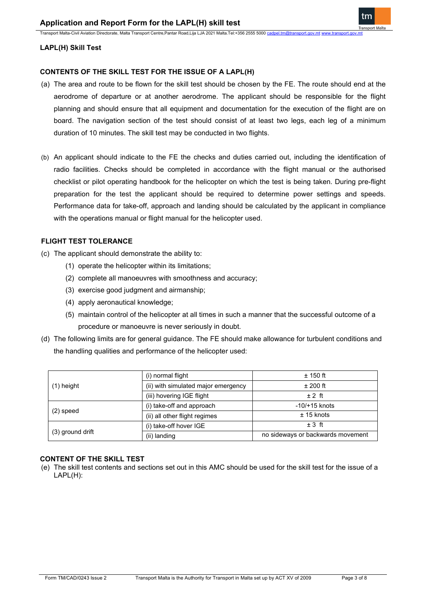# **LAPL(H) Skill Test**

# **CONTENTS OF THE SKILL TEST FOR THE ISSUE OF A LAPL(H)**

- (a) The area and route to be flown for the skill test should be chosen by the FE. The route should end at the aerodrome of departure or at another aerodrome. The applicant should be responsible for the flight planning and should ensure that all equipment and documentation for the execution of the flight are on board. The navigation section of the test should consist of at least two legs, each leg of a minimum duration of 10 minutes. The skill test may be conducted in two flights.
- (b) An applicant should indicate to the FE the checks and duties carried out, including the identification of radio facilities. Checks should be completed in accordance with the flight manual or the authorised checklist or pilot operating handbook for the helicopter on which the test is being taken. During pre-flight preparation for the test the applicant should be required to determine power settings and speeds. Performance data for take-off, approach and landing should be calculated by the applicant in compliance with the operations manual or flight manual for the helicopter used.

# **FLIGHT TEST TOLERANCE**

- (c) The applicant should demonstrate the ability to:
	- (1) operate the helicopter within its limitations;
	- (2) complete all manoeuvres with smoothness and accuracy;
	- (3) exercise good judgment and airmanship;
	- (4) apply aeronautical knowledge;
	- (5) maintain control of the helicopter at all times in such a manner that the successful outcome of a procedure or manoeuvre is never seriously in doubt.
- (d) The following limits are for general guidance. The FE should make allowance for turbulent conditions and the handling qualities and performance of the helicopter used:

|                  | (i) normal flight                   | $± 150$ ft                        |
|------------------|-------------------------------------|-----------------------------------|
| $(1)$ height     | (ii) with simulated major emergency | $±$ 200 ft                        |
|                  | (iii) hovering IGE flight           | $±2$ ft                           |
|                  | (i) take-off and approach           | $-10/+15$ knots                   |
| $(2)$ speed      | (ii) all other flight regimes       | $± 15$ knots                      |
|                  | (i) take-off hover IGE              | $± 3$ ft                          |
| (3) ground drift | (ii) landing                        | no sideways or backwards movement |

### **CONTENT OF THE SKILL TEST**

(e) The skill test contents and sections set out in this AMC should be used for the skill test for the issue of a LAPL(H):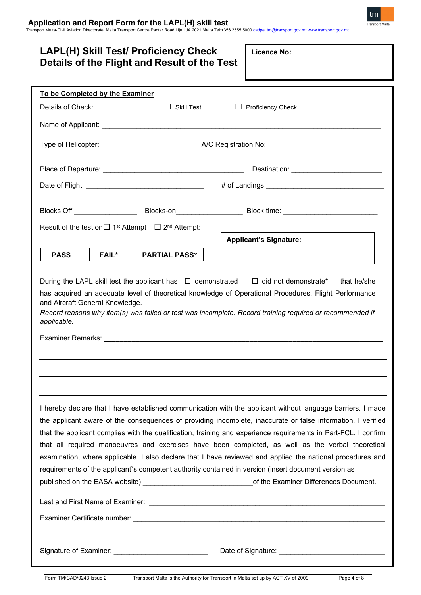Application and Report Form for the LAPL(H) skill test<br>Transport Malta-Civil Aviation Directorate, Malta Transport Centre,Pantar Road,Lija LJA 2021 Malta.Tel:+356 2555 5000 <u>[cadpel.tm@transport.gov.mt](mailto:cadpel.tm@transport.gov.mt) www.transport.gov.m</u>t

| <b>LAPL(H) Skill Test/ Proficiency Check</b><br>Details of the Flight and Result of the Test                                                                                                                                                                                                                                                                                                                                                                                                                                                                                                                                                                                                                                                                                      | <b>Licence No:</b>                                                                        |  |
|-----------------------------------------------------------------------------------------------------------------------------------------------------------------------------------------------------------------------------------------------------------------------------------------------------------------------------------------------------------------------------------------------------------------------------------------------------------------------------------------------------------------------------------------------------------------------------------------------------------------------------------------------------------------------------------------------------------------------------------------------------------------------------------|-------------------------------------------------------------------------------------------|--|
| To be Completed by the Examiner                                                                                                                                                                                                                                                                                                                                                                                                                                                                                                                                                                                                                                                                                                                                                   |                                                                                           |  |
| $\Box$ Skill Test<br>Details of Check:                                                                                                                                                                                                                                                                                                                                                                                                                                                                                                                                                                                                                                                                                                                                            | $\Box$ Proficiency Check                                                                  |  |
|                                                                                                                                                                                                                                                                                                                                                                                                                                                                                                                                                                                                                                                                                                                                                                                   |                                                                                           |  |
|                                                                                                                                                                                                                                                                                                                                                                                                                                                                                                                                                                                                                                                                                                                                                                                   |                                                                                           |  |
|                                                                                                                                                                                                                                                                                                                                                                                                                                                                                                                                                                                                                                                                                                                                                                                   |                                                                                           |  |
|                                                                                                                                                                                                                                                                                                                                                                                                                                                                                                                                                                                                                                                                                                                                                                                   |                                                                                           |  |
| Blocks Off ____________________________Blocks-on__________________________Block time: ________________________                                                                                                                                                                                                                                                                                                                                                                                                                                                                                                                                                                                                                                                                    |                                                                                           |  |
| Result of the test on $\Box$ 1 <sup>st</sup> Attempt $\Box$ 2 <sup>nd</sup> Attempt:                                                                                                                                                                                                                                                                                                                                                                                                                                                                                                                                                                                                                                                                                              | the control of the control of the control of the control of the control of the control of |  |
| <b>PARTIAL PASS*</b><br><b>FAIL*</b><br><b>PASS</b>                                                                                                                                                                                                                                                                                                                                                                                                                                                                                                                                                                                                                                                                                                                               | <b>Applicant's Signature:</b>                                                             |  |
| During the LAPL skill test the applicant has $\Box$ demonstrated $\Box$ did not demonstrate* that he/she<br>has acquired an adequate level of theoretical knowledge of Operational Procedures, Flight Performance<br>and Aircraft General Knowledge.<br>Record reasons why item(s) was failed or test was incomplete. Record training required or recommended if<br>applicable.                                                                                                                                                                                                                                                                                                                                                                                                   |                                                                                           |  |
|                                                                                                                                                                                                                                                                                                                                                                                                                                                                                                                                                                                                                                                                                                                                                                                   |                                                                                           |  |
| I hereby declare that I have established communication with the applicant without language barriers. I made<br>the applicant aware of the consequences of providing incomplete, inaccurate or false information. I verified<br>that the applicant complies with the qualification, training and experience requirements in Part-FCL. I confirm<br>that all required manoeuvres and exercises have been completed, as well as the verbal theoretical<br>examination, where applicable. I also declare that I have reviewed and applied the national procedures and<br>requirements of the applicant's competent authority contained in version (insert document version as<br>published on the EASA website) ________________________________of the Examiner Differences Document. |                                                                                           |  |
|                                                                                                                                                                                                                                                                                                                                                                                                                                                                                                                                                                                                                                                                                                                                                                                   |                                                                                           |  |
|                                                                                                                                                                                                                                                                                                                                                                                                                                                                                                                                                                                                                                                                                                                                                                                   |                                                                                           |  |
| Signature of Examiner: _______________________________                                                                                                                                                                                                                                                                                                                                                                                                                                                                                                                                                                                                                                                                                                                            |                                                                                           |  |

tm **Transport Malta**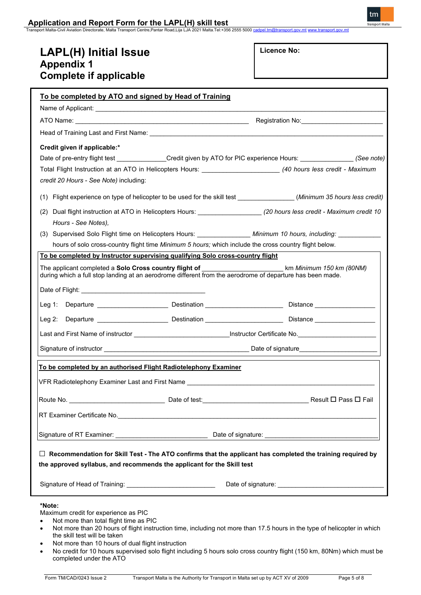Application and Report Form for the LAPL(H) skill test<br>Transport Malta-Civil Aviation Directorate, Malta Transport Centre,Pantar Road,Lija LJA 2021 Malta.Tel:+356 2555 5000 <u>[cadpel.tm@transport.gov.mt](mailto:cadpel.tm@transport.gov.mt) www.transport.gov.m</u>t

# **LAPL(H) Initial Issue Appendix 1 Complete if applicable**

| Licence No: |  |
|-------------|--|
|-------------|--|

tm **Transport Malt** 

| To be completed by ATO and signed by Head of Training                                                                                                                                                                                                |               |                                                                                                                                                                                                                                                    |  |
|------------------------------------------------------------------------------------------------------------------------------------------------------------------------------------------------------------------------------------------------------|---------------|----------------------------------------------------------------------------------------------------------------------------------------------------------------------------------------------------------------------------------------------------|--|
|                                                                                                                                                                                                                                                      |               |                                                                                                                                                                                                                                                    |  |
|                                                                                                                                                                                                                                                      |               | Registration No: _____________________________                                                                                                                                                                                                     |  |
|                                                                                                                                                                                                                                                      |               |                                                                                                                                                                                                                                                    |  |
| Credit given if applicable:*                                                                                                                                                                                                                         |               |                                                                                                                                                                                                                                                    |  |
|                                                                                                                                                                                                                                                      |               | Date of pre-entry flight test Credit given by ATO for PIC experience Hours: (See note)                                                                                                                                                             |  |
| Total Flight Instruction at an ATO in Helicopters Hours: _______________________(40 hours less credit - Maximum                                                                                                                                      |               |                                                                                                                                                                                                                                                    |  |
| credit 20 Hours - See Note) including:                                                                                                                                                                                                               |               |                                                                                                                                                                                                                                                    |  |
|                                                                                                                                                                                                                                                      |               | (1) Flight experience on type of helicopter to be used for the skill test ______________(Minimum 35 hours less credit)                                                                                                                             |  |
|                                                                                                                                                                                                                                                      |               | (2) Dual flight instruction at ATO in Helicopters Hours: ____________________(20 hours less credit - Maximum credit 10                                                                                                                             |  |
| Hours - See Notes),                                                                                                                                                                                                                                  |               |                                                                                                                                                                                                                                                    |  |
|                                                                                                                                                                                                                                                      |               | (3) Supervised Solo Flight time on Helicopters Hours: ________________ Minimum 10 hours, including: __________                                                                                                                                     |  |
| hours of solo cross-country flight time Minimum 5 hours; which include the cross country flight below.<br>To be completed by Instructor supervising qualifying Solo cross-country flight                                                             |               |                                                                                                                                                                                                                                                    |  |
| The applicant completed a Solo Cross country flight of _________________________                                                                                                                                                                     |               | km Minimum 150 km (80NM)                                                                                                                                                                                                                           |  |
| during which a full stop landing at an aerodrome different from the aerodrome of departure has been made.                                                                                                                                            |               |                                                                                                                                                                                                                                                    |  |
|                                                                                                                                                                                                                                                      |               |                                                                                                                                                                                                                                                    |  |
| Leg 1:                                                                                                                                                                                                                                               |               |                                                                                                                                                                                                                                                    |  |
|                                                                                                                                                                                                                                                      |               |                                                                                                                                                                                                                                                    |  |
|                                                                                                                                                                                                                                                      |               |                                                                                                                                                                                                                                                    |  |
|                                                                                                                                                                                                                                                      |               |                                                                                                                                                                                                                                                    |  |
|                                                                                                                                                                                                                                                      |               |                                                                                                                                                                                                                                                    |  |
| To be completed by an authorised Flight Radiotelephony Examiner                                                                                                                                                                                      |               |                                                                                                                                                                                                                                                    |  |
| VFR Radiotelephony Examiner Last and First Name <b>Constitution Construction Constitution</b>                                                                                                                                                        |               |                                                                                                                                                                                                                                                    |  |
| Route No.                                                                                                                                                                                                                                            | Date of test: | Result $\square$ Pass $\square$ Fail                                                                                                                                                                                                               |  |
| RT Examiner Certificate No. <b>Example 2018</b> 2019 12:00:00 PM 2019 2019 12:00:00 PM 2019 2019 2019 2019 2019 2019                                                                                                                                 |               |                                                                                                                                                                                                                                                    |  |
|                                                                                                                                                                                                                                                      |               |                                                                                                                                                                                                                                                    |  |
|                                                                                                                                                                                                                                                      |               |                                                                                                                                                                                                                                                    |  |
|                                                                                                                                                                                                                                                      |               | $\Box$ Recommendation for Skill Test - The ATO confirms that the applicant has completed the training required by                                                                                                                                  |  |
| the approved syllabus, and recommends the applicant for the Skill test                                                                                                                                                                               |               |                                                                                                                                                                                                                                                    |  |
|                                                                                                                                                                                                                                                      |               |                                                                                                                                                                                                                                                    |  |
| Signature of Head of Training: ________________________________                                                                                                                                                                                      |               |                                                                                                                                                                                                                                                    |  |
| *Note:<br>Maximum credit for experience as PIC<br>Not more than total flight time as PIC<br>$\bullet$<br>$\bullet$<br>the skill test will be taken<br>Not more than 10 hours of dual flight instruction<br>$\bullet$<br>٠<br>completed under the ATO |               | Not more than 20 hours of flight instruction time, including not more than 17.5 hours in the type of helicopter in which<br>No credit for 10 hours supervised solo flight including 5 hours solo cross country flight (150 km, 80Nm) which must be |  |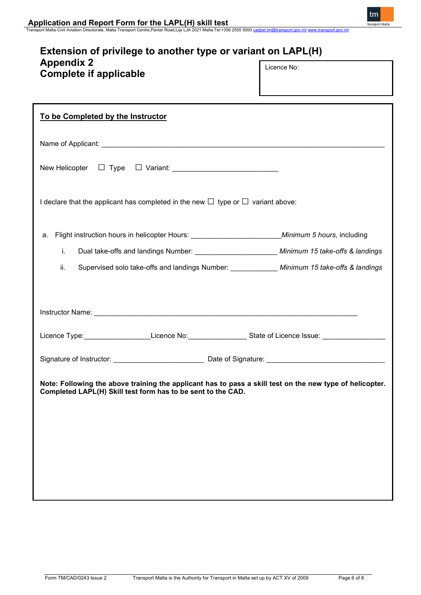## **Extension of privilege to another type or variant on LAPL(H) Appendix 2 Complete if applicable** Licence No:

| I declare that the applicant has completed in the new $\Box$ type or $\Box$ variant above:                                                                               |
|--------------------------------------------------------------------------------------------------------------------------------------------------------------------------|
|                                                                                                                                                                          |
| Dual take-offs and landings Number: _________________________ Minimum 15 take-offs & landings                                                                            |
| Supervised solo take-offs and landings Number: Minimum 15 take-offs & landings                                                                                           |
| Licence Type:_____________________Licence No:__________________State of Licence Issue: ___________________                                                               |
|                                                                                                                                                                          |
| Note: Following the above training the applicant has to pass a skill test on the new type of helicopter.<br>Completed LAPL(H) Skill test form has to be sent to the CAD. |
|                                                                                                                                                                          |

**Transport Ma**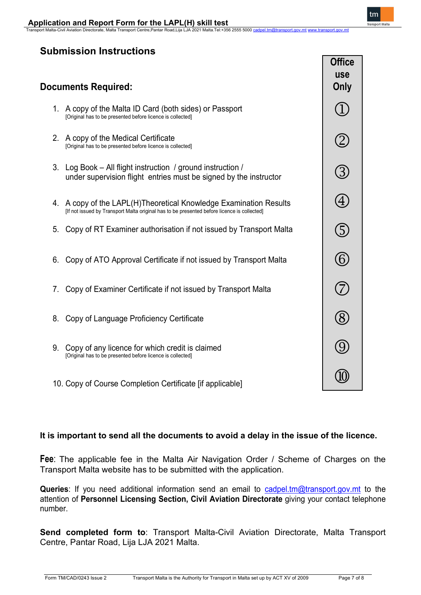e, Malta Transport Centre,Pantar Road,Lija LJ.

**Office use Only**

 $(1)$ 

 $(2)$ 

 $\circledS$ 

 $\bigoplus$ 

 $\circledS$ 

 $\circledS$ 

 $(7)$ 

 $\circledR$ 

 $\left( 9\right)$ 

(10)

# **Submission Instructions**

# **Documents Required:**

- 1. A copy of the Malta ID Card (both sides) or Passport [Original has to be presented before licence is collected]
- 2. A copy of the Medical Certificate [Original has to be presented before licence is collected]
- 3. Log Book All flight instruction / ground instruction / under supervision flight entries must be signed by the instructor
- 4. A copy of the LAPL(H)Theoretical Knowledge Examination Results [If not issued by Transport Malta original has to be presented before licence is collected]
- 5. Copy of RT Examiner authorisation if not issued by Transport Malta
- 6. Copy of ATO Approval Certificate if not issued by Transport Malta
- 7. Copy of Examiner Certificate if not issued by Transport Malta
- 8. Copy of Language Proficiency Certificate
- 9. Copy of any licence for which credit is claimed [Original has to be presented before licence is collected]
- 10. Copy of Course Completion Certificate [if applicable]

# **It is important to send all the documents to avoid a delay in the issue of the licence.**

**Fee**: The applicable fee in the Malta Air Navigation Order / Scheme of Charges on the Transport Malta website has to be submitted with the application.

**Queries**: If you need additional information send an email to [cadpel.tm@transport.gov.mt](mailto:cadpel.tm@transport.gov.mt) to the attention of **Personnel Licensing Section, Civil Aviation Directorate** giving your contact telephone number.

**Send completed form to**: Transport Malta-Civil Aviation Directorate, Malta Transport Centre, Pantar Road, Lija LJA 2021 Malta.